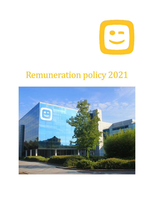

# Remuneration policy 2021

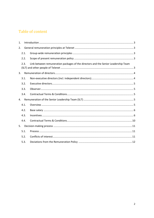# Table of content

| 1.             |      |                                                                                    |  |  |  |  |
|----------------|------|------------------------------------------------------------------------------------|--|--|--|--|
|                | 2.   |                                                                                    |  |  |  |  |
|                | 2.1. |                                                                                    |  |  |  |  |
|                | 2.2. |                                                                                    |  |  |  |  |
|                | 2.3. | Link between remuneration packages of the directors and the Senior Leadership Team |  |  |  |  |
| 3 <sub>1</sub> |      |                                                                                    |  |  |  |  |
|                | 3.1. |                                                                                    |  |  |  |  |
|                | 3.2. |                                                                                    |  |  |  |  |
|                | 3.3. |                                                                                    |  |  |  |  |
|                | 3.4. |                                                                                    |  |  |  |  |
| 4.             |      |                                                                                    |  |  |  |  |
|                | 4.1. |                                                                                    |  |  |  |  |
|                | 4.2. |                                                                                    |  |  |  |  |
|                | 4.3. |                                                                                    |  |  |  |  |
|                | 4.4. |                                                                                    |  |  |  |  |
| 5.             |      |                                                                                    |  |  |  |  |
|                | 5.1. |                                                                                    |  |  |  |  |
|                | 5.2. |                                                                                    |  |  |  |  |
|                | 5.3. |                                                                                    |  |  |  |  |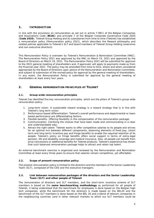### <span id="page-2-0"></span>**1. INTRODUCTION**

In line with the provisions on remuneration as set out in article 7:89/1 of the Belgian Companies and Associations Code (**BCAC**) and principle 7 of the Belgian Corporate Governance Code 2020 (**Code 2020**), Telenet Group Holding and its subsidiaries from time to time (Telenet) has established a remuneration policy (Remuneration policy 2021), which describes the Reward philosophy and related policies applicable to Telenet's SLT and board members of Telenet Group Holding (executive and non-executive directors)

This Remuneration Policy is overseen by Telenet's Remuneration & Nomination Committee (RNC). The Remuneration Policy 2021 was approved by the RNC on March 15, 2021 and approved by the Board of Directors on March 19, 2021. The Remuneration Policy 2021 will be submitted for approval to the 2021 general meeting of shareholders and, if approved, will apply to payments made as from the financial year 2021. The policy may be amended from time to time, where and when considered appropriate by the Board of Directors upon advice of the Remuneration and Nomination Committee, and subject to submission of the revised policy for approval by the general meeting of shareholders. In any event, the Remuneration Policy is submitted for approval by the general meeting of shareholders at least every four years.

# <span id="page-2-2"></span><span id="page-2-1"></span>**2. GENERAL REMUNERATION PRINCIPLES AT TELENET**

#### **2.1.** *Group-wide remuneration principles*

Telenet has identified five key remuneration principles, which are the pillars of Telenet's group-wide remuneration policy:

- 1. Long-term vision: A sustainable reward strategy is a reward strategy that is in line with Telenet's long term vision;
- 2. Performance based differentiation: Telenet's overall performance and departmental or team based performance are differentiating factors;
- 3. Flexible benefits: Offering flexibility in the compensation of the remuneration package;
- 4. Communication: Clarifying the choices that have been made and communicating in a clear and understandable way;
- 5. Attract the right talent: Telenet wants to offer competitive salaries to its people and strives for an optimal mix between different components, balancing elements of fixed pay, (short term and long term) incentive pay and fringe benefits to enable the required retention of its people. Telenet's policy on fringe benefits offers social support in terms of extra-legal pension, life and disability coverage and medical insurance. Also, all people can benefit from price concessions or additional benefits for Telenet products. Telenet's experience has shown that such balanced remuneration package helps to attract and retain top talent.

An external benchmark exercise is organized and reviewed by the Remuneration and Nomination Committee at least every three years to ensure that salaries remain competitive, yet affordable.

#### <span id="page-2-3"></span>**2.2.** *Scope of present remuneration policy*

The present remuneration policy is limited to the directors and the members of the Senior Leadership Team (SLT), composed of the CEO and the executive managers.

#### <span id="page-2-4"></span>**2.3.** *Link between remuneration packages of the directors and the Senior Leadership Team (SLT) and other people of Telenet*

The remuneration of directors and SLT members, and the short-term incentive scheme of SLT members is based on the *same benchmarking methodology* as performed for all people of Telenet, it being understood that the benchmark for employees is done based on the Belgian high tech companies, while the benchmark for the directors is made based on the BEL20 and the benchmark of the SLT members is done based on the BEL 20 and a blend of telecom companies in the neighbouring countries (and in other relevant markets to which our SLT members could be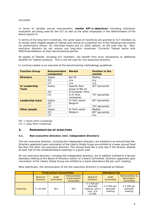recruited).

In terms of variable annual remuneration, *similar KPI's/objectives* (including individual) evaluation are being used for the SLT as well as the other employees in the determination of the bonus payout %.

In terms of the long-term incentives, the same types of incentives are granted to SLT members as to certain other eligible people of Telenet and consist of a potential mix of the following instruments (a) performance shares, (b) restricted shares and (c) stock options, as the case may be. Nonexecutive directors do not receive any long-term incentives. Currently Telenet works with WillisTowersWatson as their benchmarking partner.

All people of Telenet, including SLT members, can benefit from price concessions or additional benefits for Telenet products. This is not the case for non-executive directors.

| <b>Function Group</b>        | <b>Remuneration</b><br>component | <b>Market</b>                    | <b>Position in the</b><br>market |
|------------------------------|----------------------------------|----------------------------------|----------------------------------|
| <b>Directors</b>             | Salary                           | <b>Bel 20</b>                    | Median                           |
|                              | STI                              | n/a                              | n/a                              |
|                              | <b>LTI</b>                       | n/a                              | n/a                              |
| <b>Sr Leadership</b><br>Team | Salary                           | Specific Peer<br>group of Bel 20 | 65 <sup>th</sup> percentile      |
|                              | STI                              | & European Telco                 |                                  |
|                              | LTI                              | & Hi Tech<br>companies           | 75 <sup>th</sup> percentile      |
| <b>Leadership team</b>       | Salary                           | Hi Tech sector                   | 65 <sup>th</sup> percentile      |
|                              | STI                              | Belgium                          |                                  |
|                              | LTI                              |                                  | 75 <sup>th</sup> percentile      |
| <b>Other people</b>          | Salary                           | Hi Tech sector                   | Median                           |
|                              | STI                              | Belgium                          | 65 <sup>th</sup> percentile      |
|                              | LTI                              |                                  | n/a                              |

In summary below is an overview of the benchmarking methodology guidelines:

STI = Short Term Incentives

LTI = Long Term Incentives

# <span id="page-3-0"></span>**3. REMUNERATION OF DIRECTORS**

#### <span id="page-3-1"></span>**3.1.** *Non-executive directors (incl. independent directors)*

The non-executive directors, including the independent directors, are entitled to an annual fixed fee. Directors appointed upon nomination of the Liberty Global Group are entitled to a lower annual fixed fee than the other non-executive directors. The annual fixed fee is only due if the director attends at least half of the scheduled Board meetings in a given year.

All non-executive directors, including the independent directors, are in addition entitled to a fee per attended meeting of the Board of Directors and/or of a Board Committee. Directors appointed upon nomination of the Liberty Global Group are entitled to a lower attendance fee per such meeting.

More specifically, the remuneration of the non-executive directors is composed as follows:

|          | <b>Fixed annual remuneration</b> |                    |                                           | <b>Attendance fee</b>                                                               |                                    |                                                             |
|----------|----------------------------------|--------------------|-------------------------------------------|-------------------------------------------------------------------------------------|------------------------------------|-------------------------------------------------------------|
|          | Board of<br><b>Directors</b>     | Audit<br>Committee | Remuneration<br>& Nomination<br>Committee | Board of<br><b>Directors</b>                                                        | Audit<br>Committee                 | <b>Remuneration &amp;</b><br><b>Nomination</b><br>Committee |
| Chairman | € 120.000                        | N/A                | N/A                                       | $\epsilon$ 3.500 per<br>attended<br>meeting, with a<br>max. of $\epsilon$<br>24.500 | € 4.000 per<br>attended<br>meeting | € 2.000 per<br>attended<br>meeting                          |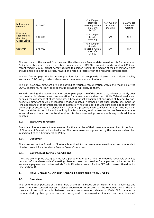| Independent<br>directors                                               | € 45.000 | $\epsilon$ 3.500 per<br>attended<br>€ 3.000 per<br>meeting, with a<br>attended<br>max. of $\epsilon$<br>meeting<br>24.500 | € 2.000 per<br>attended<br>meeting |
|------------------------------------------------------------------------|----------|---------------------------------------------------------------------------------------------------------------------------|------------------------------------|
| <b>Directors</b><br>appointed by<br>the Liberty<br><b>Global Group</b> | € 12.000 | $\epsilon$ 2.000 per<br>attended<br>N/A<br>meeting                                                                        | N/A                                |
| Observer                                                               | € 45.000 | $\epsilon$ 3.500 per<br>attended<br>meeting, with a<br>N/A<br>max. of $\epsilon$<br>24.500                                | N/A                                |

The amounts of the annual fixed fee and the attendance fees as determined in this Remuneration Policy have been set, based on a benchmark study of BEL20 companies performed in 2015 and reconfirmed in 2020. Telenet hereby decided to position itself at the median of the benchmark, which should enable Telenet to attract, reward and retain directors with the required competencies.

Telenet further pays the insurance premium for the group-wide directors and officers liability insurance (D&O policy), which also covers the non-executive directors.

The non-executive directors are not entitled to variable remuneration within the meaning of the BCAC. Therefore, no claw-back or malus provision will apply to them.

Notwithstanding, the recommendation under paragraph 7.6 of the Code 2020, Telenet currently does not provide for share-based remuneration for non-executive directors. While Telenet seeks and pursues the alignment of all its directors, it believes that ownership of securities of Telenet by nonexecutive directors could unnecessarily trigger debates, whether or not such debate has merit, on (the appearance) of potential conflict of interests. While the Board of Directors does not believe that ownership of securities in Telenet by its directors presents such conflict of interest, the Board of Directors strives for rapidity and simplicity in a fast-moving environment as the one Telenet operates in and does not wish to risk to slow down its decision-making process with any such additional debates.

#### <span id="page-4-0"></span>**3.2.** *Executive directors*

Executive directors are not remunerated for the exercise of their mandate as member of the Board of Directors of Telenet or its subsidiaries. Their remuneration is governed by the provisions described in section 4 of this Remuneration Policy.

#### <span id="page-4-1"></span>**3.3.** *Observer*

The observer to the Board of Directors is entitled to the same remuneration as an independent director (except for attendance fees to Board Commitees).

#### <span id="page-4-2"></span>**3.4.** *Contractual Terms & Conditions*

Directors are, in principle, appointed for a period of four years. Their mandate is revocable at will by decision of the shareholders' meeting. Telenet does not provide for a pension scheme nor for severance payments or notice periods for its Directors (except for the CEO who is executive director -see section 4).

#### <span id="page-4-3"></span>**4. REMUNERATION OF THE SENIOR LEADERSHIP TEAM (SLT)**

#### <span id="page-4-4"></span>**4.1.** *Overview*

The remuneration package of the members of the SLT is based on principles of internal fairness and external market competitiveness. Telenet endeavours to ensure that the remuneration of the SLT consists of an optimal mix between various remuneration elements. Each SLT member is remunerated by taking into account pre-agreed (company-wide financial and non-financial)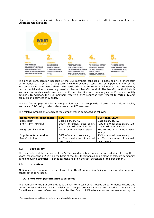objectives being in line with Telenet's strategic objectives as set forth below (hereafter, the **Strategic Objectives**):



The annual remuneration package of the SLT members consists of a base salary, a short-term performance cash bonus, a long-term incentive scheme (consisting of a potential mix of the instruments (a) performance shares, (b) restricted shares and/or (c) stock options (as the case may be), an individual supplementary pension plan and benefits in kind. The benefits in kind include insurance for medical costs, insurance for life and disability and a company car and/or other mobility options[1](#page-5-2). In addition, the SLT members receive a price reduction with respect to certain Telenet products and services they order.

Telenet further pays the insurance premium for the group-wide directors and officers liability insurance (D&O policy), which also covers the SLT members.

| <b>Remuneration component</b> | <b>CEO</b>                 | <b>SLT (excl. CEO)</b>        |  |
|-------------------------------|----------------------------|-------------------------------|--|
| Base salary                   | Base salary cf. 4.2        | Base salary cf. 4.2           |  |
| Short-term incentive          | 100% of annual base salary | 42% of annual base salary (up |  |
|                               | (up to a maximum of 150%)  | to a maximum of 150%)         |  |
| Long-term incentive           | 400% of annual base salary | 160 to 200 % of annual base   |  |
|                               |                            | salary                        |  |
| Supplementary pension         | 34% of annual base salary  | 13% of annual base salary     |  |
| Benefits in kind              | < 5% maximum of annual     | < 5% maximum of annual        |  |
|                               | base salary                | base salary                   |  |

The relative proportion of each of the components is composed as follows:

#### <span id="page-5-0"></span>**4.2.** *Base salary*

The base salary of the members of the SLT is based on a benchmark performed at least every three years (most recent in 2020) on the basis of the BEL20 companies and a blend of telecom companies in neighbouring countries. Telenet positions itself on the 65<sup>th</sup> percentile of this benchmark.

#### <span id="page-5-1"></span>**4.3.** *Incentives*

All financial performance criteria referred to in this Remuneration Policy are measured on a groupconsolidated IFRS basis.

#### **A. Short-term performance cash bonus**

The members of the SLT are entitled to a short-term cash bonus, based on performance criteria and targets measured over one financial year. The performance criteria are linked to the Strategic Objectives and are defined each year by the Board of Directors upon recommendation by the

<span id="page-5-2"></span><sup>&</sup>lt;sup>1</sup> For expatriates, school fees for children and a travel allowance are paid.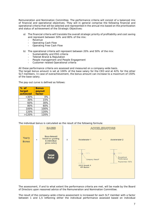Remuneration and Nomination Committee. The performance criteria will consist of a balanced mix of financial and operational objectives. They will in general comprise the following financial and operational criteria that will be selected and represented in the annual mix based on the prioritization and status of achievement of the Strategic Objectives:

- a) The financial criteria will translate the overall strategic priority of profitability and cost saving and represent between 50% and 80% of the mix:
	- **Revenue**
	- Operating Cash Flow
	- Operating Free Cash Flow
- b) The operational criteria will represent between 20% and 50% of the mix:
	- Sustainability and ESG criteria
	- Telenet Brand & Reputation
	- People management and People Engagement
	- Customer related Operational criteria

All these performance criteria are assessed and measured on a company-wide basis.

The target bonus amount is set at 100% of the base salary for the CEO and at 42% for the other SLT members. In case of overachievement, the bonus amount can increase to a maximum of 150% of the base salary.

The pay-out curve is defined as follows:

| $%$ of   | <b>Bonus</b> |  |
|----------|--------------|--|
| target   | payout       |  |
| achieved | factor       |  |
| $<30\%$  | 0%           |  |
| 30%      | 15%          |  |
| 60%      | 30%          |  |
| 80%      | 60%          |  |
| 100%     | 100%         |  |
| 120%     | 120%         |  |
| >120%    | 120%         |  |

The individual bonus is calculated as the result of the following formula:



The assessment, if and to what extent the performance criteria are met, will be made by the Board of Directors upon reasoned advice of the Remuneration and Nomination Committee.

The result of the company-wide criteria assessment is increased for each SLT member with a factor between 1 and 1,5 reflecting either the individual performance assessed based on individual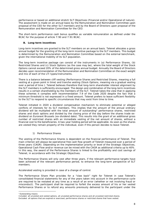performance or based on additional stretch SLT Objectives (Financial and/or Operational of nature). The assessment is made on an annual basis by the Remuneration and Nomination Committee upon proposal of the CEO for the other SLT members and by the Board of Directors upon proposal of the Remuneration and Nomination Committee for the CEO.

The short-term performance cash bonus qualifies as variable remuneration as defined under the BCAC for the purpose of article 7:90 and 7:91 BCAC.

#### **B. Long-term incentives**

Long-term incentives are granted to the SLT members on an annual basis. Telenet allocates a gross annual budget for the granting of the long-term incentive package to the SLT members. This budget is determined by the Remuneration and Nomination Committee based on the external benchmark, given the international mobility of its SLT population.

The long-term incentive package can consist of the instruments in (a) Performance Shares, (b) Restricted Shares and (c) Stock Options (as the case may be), where the total weight of the Stock Options cannot exceed 20% of the determined gross annual budget. Annually the Board of Directors decides upon recommendation of the Remuneration and Nomination Committee on the exact weight and mix of each of the LTI types/instruments.

There is a balance between cliff vesting (Performance Shares and Restricted Shares, meaning a full vesting at a given point in time) and tranche vesting (Stock Options, meaning via a gradual vesting over a period of time ). Telenet believes therefore that long-term shareholder interest alignment by the SLT members is sufficiently encouraged. The design and combination of the long-term incentives results in a certain shareholding by the members of the SLT. Telenet takes the view that in applying these schemes it complies with recommendation 7.9 of the Code 2020 despite the fact that a minimum threshold is not expressed in a fixed amount. Telenet prefers to leave sufficient flexibility to the SLT to respond to specific circumstances that may exist from time to time.

Telenet initiated in 2020 a dividend compensation mechanism to eliminate potential or alleged conflicts of interests for its SLT members. This implies that the amount of the annual ordinary dividend will be multiplied with the total amount of outstanding<sup>[2](#page-7-0)</sup> performance shares, restricted shares and stock options and divided by the closing price of the day before the shares trade exdividend on Euronext Brussels (ex-dividend date). This results into the grant of an additional gross number of restricted shares with an immediate vesting of the net amount of shares, without a financial cost to the beneficiaries. A two-year holding period will be applicable. As soon as the shares are vested they remain property of the individual, even if this person decides to leave Telenet.

#### 1) Performance Shares

The vesting of the Performance Shares is dependent on the financial performance of Telenet. The main criterion will always be operational free cash flow growth of Telenet measured over a period of three years (CAGR). Depending on the implementation priority or level of the Strategic Objectives, Operational Cash Flow and/or revenue can be mixed with the CAGR as additional criteria up to 40%. In this way, the award of the Performance Shares is linked to the profitability and cost savings of Telenet, in accordance with the Strategic Objectives.

The Performance Shares will only vest after three years, if the relevant performance targets have been achieved of the relevant performance period, to enhance the long-term perspective of SLT members.

Accelerated vesting is provided in case of a change of control.

The Performance Share Plan provides for a "claw back" right for Telenet in case Telenet's consolidated financial statements for any of the years taken into account in the performance cycle are required to be restated at any time as a result of an error (whether or not involving fraud or misconduct). The participant shall be required to forfeit the excess amount of his or her vested Performance Shares or to refund any amounts previously delivered to the participant under the

<span id="page-7-0"></span><sup>2</sup> Outstanding means:

Included: all unvested and vested options, all unvested performance shares and all unvested restricted shares.

Excluded: all options that are expired or exercised, performance shares or restricted shares that have vested.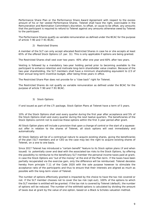Performance Share Plan or the Performance Share Award Agreement with respect to the excess amount of his or her vested Performance Shares. Telenet shall have the right, exercisable in the Remuneration and Nomination Committee's discretion, to offset, or cause to be offset, any amounts that the participant is required to refund to Telenet against any amounts otherwise owed by Telenet to the participant.

The Performance Shares qualify as variable remuneration as defined under the BCAC for the purpose of article 7:90 and 7:91 BCAC.

#### 2) Restricted Shares

A member of the SLT can only accept allocated Restricted Shares in case he or she accepts at least 65% of the offered Stock Options (cf. par. 3)). This is only applicable if options are being granted.

The Restricted Shares shall vest over two years: 40% after one year and 60% after two years.

Vesting is followed by a mandatory two-year holding period prior to becoming available to the participant to enhance retention and motivate long-term shareholder value creation. Because of the two-year shareholding, the SLT members shall have a minimum shareholding equivalent to 2/3 of their annual long-term incentive budget, after being three years in office.

The Restricted Share Plan does not provide for a "claw back" right for Telenet.

The Restricted Shares do not qualify as variable remuneration as defined under the BCAC for the purpose of article 7:90 and 7:91 BCAC.

#### 3) Stock Options

If and issued as part of the LTI package, Stock Option Plans at Telenet have a term of 5 years.

10% of the Stock Options shall vest every quarter during the first year after acceptance and 5% of the Stock Options shall vest every quarter during the next twelve quarters. The beneficiaries of the Stock Options commit not to exercise these options within the first 3-year period after grant.

All Stock Option plans will include a provision that upon a change of control or the start of a squeezeout offer in relation to the shares of Telenet, all stock options will vest immediately and automatically.

All Stock Options will be of a contractual nature to acquire existing shares, giving the beneficiaries of the plan (SLT members and or CEO as the case may be) the right to acquire existing shares of Telenet, on a one to one basis.

Since 2017 Telenet has introduced a "certain benefit" feature to its Stock option plans (if and when issued) to potentially cover and deal with the associated tax risks to the Stock Options, by offering the possibility to reimburse to the beneficiary SLT member the personal income taxes paid at grant, in case the Stock Options are "out of the money" at the end of the Plan term. If the taxes have been partially recuperated via the exercise gain, only the difference will be reimbursed. Telenet deviates hereby from principle 7.11 of the Code 2020 with the sole purpose however to stimulate the acceptance ratio of the participants and thus to ensure that their interests are aligned as much as possible with the long-term vision of Telenet.

The number of options effectively granted is impacted by the choice to have the tax risk covered or not. If the SLT member chooses not to cover the tax risk (opt-out), 100% of the options to which the SLT member is entitled will be granted. If the tax risk is covered by Telenet (default), the number of options will be reduced. The number of the withheld options is calculated by dividing the amount of taxes due at grant by the value of one option, based on a Black & Scholes valuation method.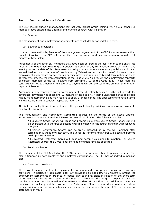#### <span id="page-9-0"></span>**4.4.** *Contractual Terms & Conditions*

The CEO has concluded a management contract with Telenet Group Holding NV, while all other SLT members have entered into a formal employment contract with Telenet BV.

#### 1) Duration

The management and employment agreements are concluded for an indefinite term.

2) Severance provisions

In case of termination by Telenet of the management agreement of the CEO for other reasons than breach of contract, the CEO will be entitled to a maximum total cash remuneration equal to 12 months of base salary.

Agreements of the other SLT members that have been entered in the past (prior to the entry into force of the Belgian law requiring shareholder approval for any termination provision) and in any event prior to the date of this Remuneration policy contain various severance provisions which can exceed twelve months in case of termination by Telenet (other than for cause). However, most employment agreements do not contain specific provisions relating to (early) termination as these agreements precede the implementation of the Code 2020. As a result, the employment contracts of certain members of the SLT deviate from principle 7.12 of the Code 2020. These historical contracts will not be amended. All severance payments will be reported in the annual remuneration reports of Telenet.

Agreements to be concluded with new members of the SLT after January  $1<sup>st</sup>$ , 2021 will provide for severance payments not exceeding 12 months of base salary, it being understood that applicable legally mandatory provisions may require to apply a longer period. The applicable termination terms will eventually have to consider applicable labor laws.

All disclosure obligations, in accordance with applicable legal provisions, on severance payments paid to SLT are reported

The Remuneration and Nomination Committee decides on the terms of the Stock Options, Performance Shares and Restricted Shares in case of termination. The following applies:

- All unvested Stock Options will lapse and become void, while vested Stock Options can still be exercised until the first or second exercise window in the fourth calendar year following the grant.
- All vested Performance Shares can be freely disposed of by the SLT member after termination without any restriction. The unvested Performance Shares will lapse and become void upon termination.
- All unvested Restricted Shares will lapse and become void upon termination. For vested Restricted Shares, the 2-year shareholding condition remains applicable.
- 3) Pension scheme

The members of the SLT (excluding the CEO) benefit from a defined benefit pension scheme. The plan is financed by both employer and employee contributions. The CEO has an individual pension .<br>plan.

4) Claw-back provisions

The current management and employments agreements do not provide in overall claw-back provisions. In particular, applicable labor law provisions do not allow to unilaterally amend the employment agreements in order to introduce claw-back provisions in relation to the short-term performance cash bonus. With regard to the long-term incentives, the design of the plan is such that the Remuneration and Nomination Committee considers at this time that additional claw-back provisions are not appropriate. However, the Performance Share scheme does provide in a clawback provision in certain circumstances, such as in the case of restatement of Telenet's financial statements or fraud.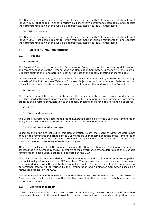The Board shall incorporate provisions in all new contracts with SLT members (starting from 1 January 2021) that enable Telenet to reclaim paid short-term performance cash bonus and specifies the circumstances in which this would be appropriate, insofar as legally enforceable.

5) Malus provisions

The Board shall incorporate provisions in all new contracts with SLT members (starting from 1 January 2021) that enable Telenet to refrain from payment of variable remuneration, and specifies the circumstances in which this would be appropriate, insofar as legally enforceable.

# <span id="page-10-0"></span>**5. DECISION-MAKING PROCESS**

#### <span id="page-10-1"></span>**5.1.** *Process*

#### **A. General**

The Board of Directors determines the Remuneration Policy based on the preparatory deliberations and recommendations of the Remuneration and Nomination Committee. Subsequently, the Board of Directors submits the Remuneration Policy to the vote of the general meeting of shareholders.

As established in this policy, the preparation of the Remuneration Policy is based on a thorough analysis of the link between Telenet's Strategic Objectives and remuneration features and on relevant benchmark exercises commissioned by the Remuneration and Nomination Committee.

#### **B. Directors**

The remuneration of the directors is based on the benchmark studies as described under section 3.1. The Board of Directors, upon recommendation of the Remuneration and Nomination Committee, proposes the directors' remuneration to the general meeting of shareholders for binding approval.

#### **C. SLT**

1) Policy and principles

The Board of Directors has determined the remuneration principles for the SLT in this Remuneration Policy upon recommendation of the Remuneration and Nomination Committee.

2) Annual remuneration package

Based on the principles set out in this Remuneration Policy, the Board of Directors determines annually the remuneration package of the SLT members upon recommendation of the Remuneration and Nomination Committee. The annual remuneration package is determined during the Board of Directors' meeting of February of each financial year.

After the establishment of the annual accounts, the Remuneration and Nomination Committee assesses the achievement by the SLT members of the performance criteria determining their variable remuneration, based upon a proposal elaborated by the CEO.

The CEO makes his recommendations to the Remuneration and Nomination Committee regarding the individual performance of the SLT members. The achievement of the financial performance criteria is derived from the established annual accounts. The achievement of the non-financial performance criteria will be verified by the Remuneration and Nomination Committee based on a motivated proposal by the CEO.

The Remuneration and Nomination Committee then makes recommendations to the Board of Directors, which will decide upon the effective payout of the short-term cash bonus and the performance shares.

#### <span id="page-10-2"></span>**5.2.** *Conflicts of interest*

In accordance with the Corporate Governance Charter of Telenet, the directors and the SLT members are deemed to avoid, to the extent possible, to perform any actions, to defend certain positions, and